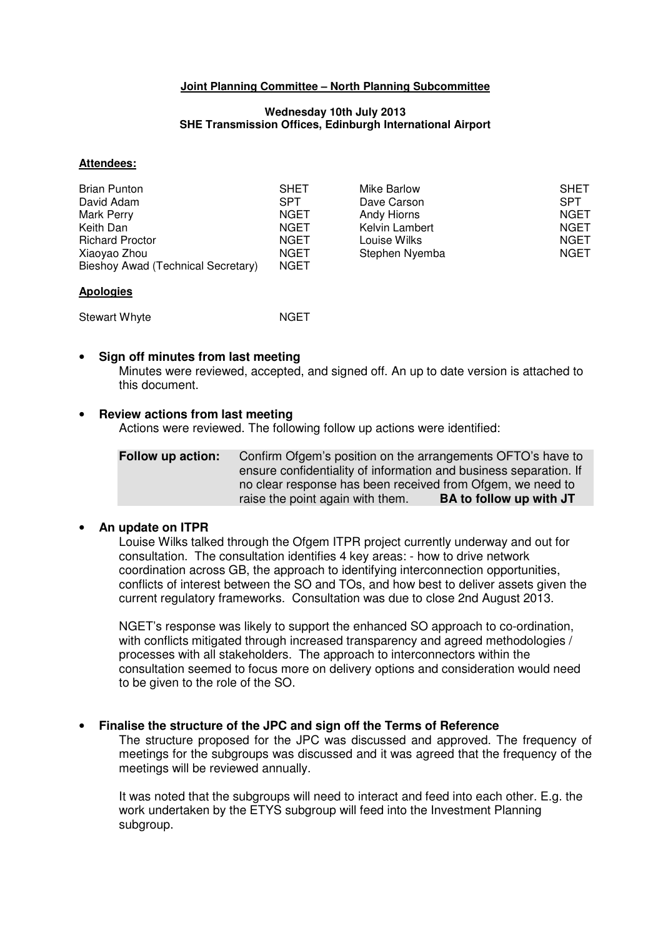## **Joint Planning Committee – North Planning Subcommittee**

#### **Wednesday 10th July 2013 SHE Transmission Offices, Edinburgh International Airport**

### **Attendees:**

| Brian Punton                       | <b>SHET</b> | Mike Barlow    | <b>SHET</b> |
|------------------------------------|-------------|----------------|-------------|
| David Adam                         | <b>SPT</b>  | Dave Carson    | <b>SPT</b>  |
| Mark Perry                         | <b>NGET</b> | Andy Hiorns    | NGET        |
| Keith Dan                          | <b>NGET</b> | Kelvin Lambert | <b>NGET</b> |
| <b>Richard Proctor</b>             | <b>NGET</b> | Louise Wilks   | <b>NGET</b> |
| Xiaoyao Zhou                       | <b>NGET</b> | Stephen Nyemba | <b>NGET</b> |
| Bieshoy Awad (Technical Secretary) | <b>NGET</b> |                |             |

### **Apologies**

Stewart Whyte NGET

## • **Sign off minutes from last meeting**

Minutes were reviewed, accepted, and signed off. An up to date version is attached to this document.

## • **Review actions from last meeting**

Actions were reviewed. The following follow up actions were identified:

**Follow up action:** Confirm Ofgem's position on the arrangements OFTO's have to ensure confidentiality of information and business separation. If no clear response has been received from Ofgem, we need to raise the point again with them. **BA to follow up with JT** 

## • **An update on ITPR**

Louise Wilks talked through the Ofgem ITPR project currently underway and out for consultation. The consultation identifies 4 key areas: - how to drive network coordination across GB, the approach to identifying interconnection opportunities, conflicts of interest between the SO and TOs, and how best to deliver assets given the current regulatory frameworks. Consultation was due to close 2nd August 2013.

NGET's response was likely to support the enhanced SO approach to co-ordination, with conflicts mitigated through increased transparency and agreed methodologies / processes with all stakeholders. The approach to interconnectors within the consultation seemed to focus more on delivery options and consideration would need to be given to the role of the SO.

## • **Finalise the structure of the JPC and sign off the Terms of Reference**

The structure proposed for the JPC was discussed and approved. The frequency of meetings for the subgroups was discussed and it was agreed that the frequency of the meetings will be reviewed annually.

It was noted that the subgroups will need to interact and feed into each other. E.g. the work undertaken by the ETYS subgroup will feed into the Investment Planning subgroup.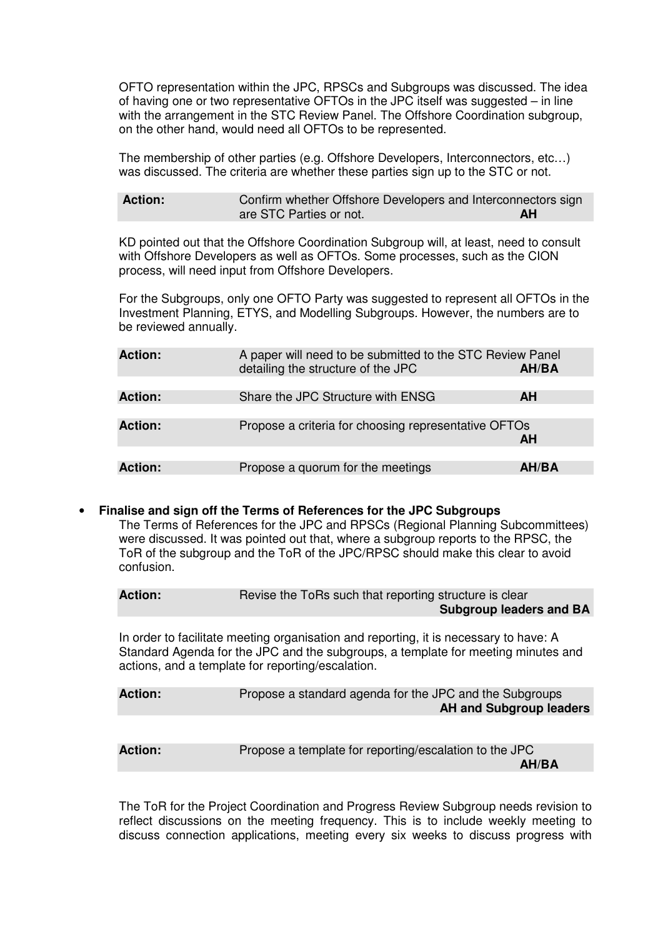OFTO representation within the JPC, RPSCs and Subgroups was discussed. The idea of having one or two representative OFTOs in the JPC itself was suggested – in line with the arrangement in the STC Review Panel. The Offshore Coordination subgroup, on the other hand, would need all OFTOs to be represented.

The membership of other parties (e.g. Offshore Developers, Interconnectors, etc…) was discussed. The criteria are whether these parties sign up to the STC or not.

| <b>Action:</b> | Confirm whether Offshore Developers and Interconnectors sign |    |
|----------------|--------------------------------------------------------------|----|
|                | are STC Parties or not.                                      | AH |

KD pointed out that the Offshore Coordination Subgroup will, at least, need to consult with Offshore Developers as well as OFTOs. Some processes, such as the CION process, will need input from Offshore Developers.

For the Subgroups, only one OFTO Party was suggested to represent all OFTOs in the Investment Planning, ETYS, and Modelling Subgroups. However, the numbers are to be reviewed annually.

| <b>Action:</b> | A paper will need to be submitted to the STC Review Panel<br>detailing the structure of the JPC | AH/BA        |
|----------------|-------------------------------------------------------------------------------------------------|--------------|
|                |                                                                                                 |              |
| <b>Action:</b> | Share the JPC Structure with ENSG                                                               | <b>AH</b>    |
|                |                                                                                                 |              |
| <b>Action:</b> | Propose a criteria for choosing representative OFTOs                                            |              |
|                |                                                                                                 | <b>AH</b>    |
|                |                                                                                                 |              |
| <b>Action:</b> | Propose a quorum for the meetings                                                               | <b>AH/BA</b> |

## • **Finalise and sign off the Terms of References for the JPC Subgroups**

The Terms of References for the JPC and RPSCs (Regional Planning Subcommittees) were discussed. It was pointed out that, where a subgroup reports to the RPSC, the ToR of the subgroup and the ToR of the JPC/RPSC should make this clear to avoid confusion.

| <b>Action:</b> | Revise the ToRs such that reporting structure is clear<br><b>Subgroup leaders and BA</b>                                                                                                                                        |
|----------------|---------------------------------------------------------------------------------------------------------------------------------------------------------------------------------------------------------------------------------|
|                | In order to facilitate meeting organisation and reporting, it is necessary to have: A<br>Standard Agenda for the JPC and the subgroups, a template for meeting minutes and<br>actions, and a template for reporting/escalation. |
| $A - 1$        | Drapage a standard caspels for the IDC and the Cubarause                                                                                                                                                                        |

| <b>Action:</b> | Propose a standard agenda for the JPC and the Subgroups |
|----------------|---------------------------------------------------------|
|                | <b>AH and Subgroup leaders</b>                          |
|                |                                                         |

**Action:** Propose a template for reporting/escalation to the JPC **AH/BA** 

The ToR for the Project Coordination and Progress Review Subgroup needs revision to reflect discussions on the meeting frequency. This is to include weekly meeting to discuss connection applications, meeting every six weeks to discuss progress with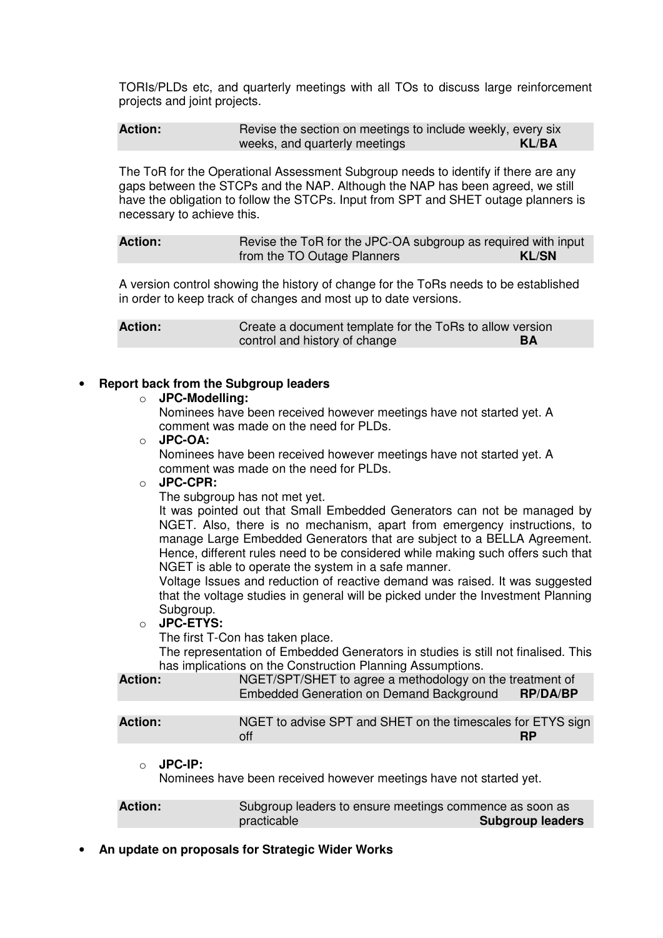TORIs/PLDs etc, and quarterly meetings with all TOs to discuss large reinforcement projects and joint projects.

**Action: Revise the section on meetings to include weekly, every six** weeks, and quarterly meetings **KL/BA** 

The ToR for the Operational Assessment Subgroup needs to identify if there are any gaps between the STCPs and the NAP. Although the NAP has been agreed, we still have the obligation to follow the STCPs. Input from SPT and SHET outage planners is necessary to achieve this.

**Action: Revise the ToR for the JPC-OA subgroup as required with input** from the TO Outage Planners **KL/SN** 

A version control showing the history of change for the ToRs needs to be established in order to keep track of changes and most up to date versions.

**Action:** Create a document template for the ToRs to allow version control and history of change **BA** 

## • **Report back from the Subgroup leaders**

### o **JPC-Modelling:**

Nominees have been received however meetings have not started yet. A comment was made on the need for PLDs.

#### o **JPC-OA:**

Nominees have been received however meetings have not started yet. A comment was made on the need for PLDs.

# o **JPC-CPR:**

The subgroup has not met yet.

It was pointed out that Small Embedded Generators can not be managed by NGET. Also, there is no mechanism, apart from emergency instructions, to manage Large Embedded Generators that are subject to a BELLA Agreement. Hence, different rules need to be considered while making such offers such that NGET is able to operate the system in a safe manner.

Voltage Issues and reduction of reactive demand was raised. It was suggested that the voltage studies in general will be picked under the Investment Planning Subgroup.

o **JPC-ETYS:** 

The first T-Con has taken place.

The representation of Embedded Generators in studies is still not finalised. This has implications on the Construction Planning Assumptions.

| <b>Action:</b> | NGET/SPT/SHET to agree a methodology on the treatment of<br>Embedded Generation on Demand Background | <b>RP/DA/BP</b> |
|----------------|------------------------------------------------------------------------------------------------------|-----------------|
|                |                                                                                                      |                 |
| <b>Action:</b> | NGET to advise SPT and SHET on the timescales for ETYS sign<br>off                                   | <b>RP</b>       |

o **JPC-IP:** 

Nominees have been received however meetings have not started yet.

Action: Subgroup leaders to ensure meetings commence as soon as practicable **Subgroup leaders** 

• **An update on proposals for Strategic Wider Works**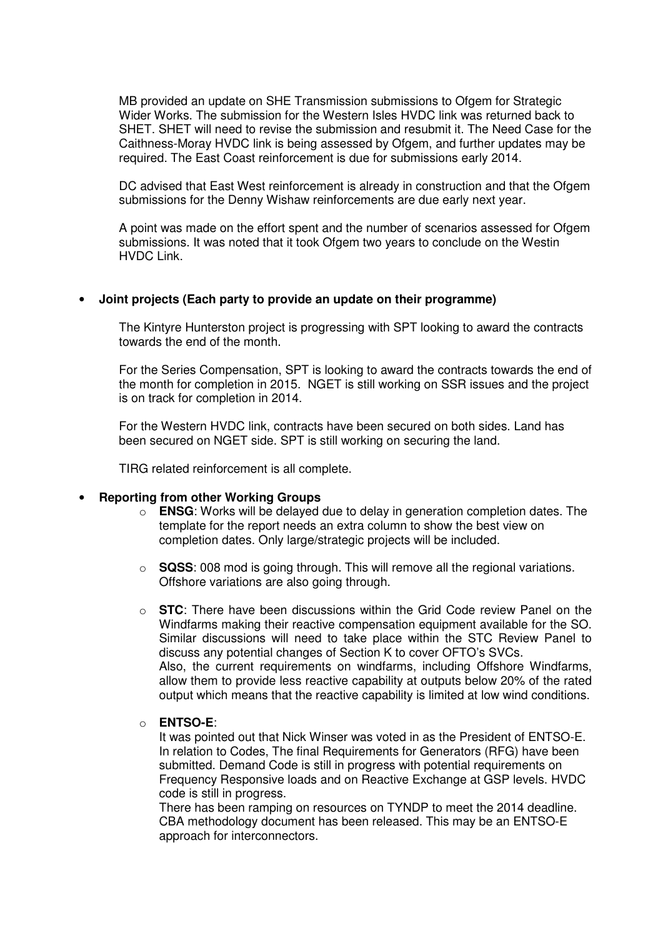MB provided an update on SHE Transmission submissions to Ofgem for Strategic Wider Works. The submission for the Western Isles HVDC link was returned back to SHET. SHET will need to revise the submission and resubmit it. The Need Case for the Caithness-Moray HVDC link is being assessed by Ofgem, and further updates may be required. The East Coast reinforcement is due for submissions early 2014.

DC advised that East West reinforcement is already in construction and that the Ofgem submissions for the Denny Wishaw reinforcements are due early next year.

A point was made on the effort spent and the number of scenarios assessed for Ofgem submissions. It was noted that it took Ofgem two years to conclude on the Westin HVDC Link.

# • **Joint projects (Each party to provide an update on their programme)**

The Kintyre Hunterston project is progressing with SPT looking to award the contracts towards the end of the month.

For the Series Compensation, SPT is looking to award the contracts towards the end of the month for completion in 2015. NGET is still working on SSR issues and the project is on track for completion in 2014.

For the Western HVDC link, contracts have been secured on both sides. Land has been secured on NGET side. SPT is still working on securing the land.

TIRG related reinforcement is all complete.

## • **Reporting from other Working Groups**

- o **ENSG**: Works will be delayed due to delay in generation completion dates. The template for the report needs an extra column to show the best view on completion dates. Only large/strategic projects will be included.
- $\circ$  **SQSS**: 008 mod is going through. This will remove all the regional variations. Offshore variations are also going through.
- o **STC**: There have been discussions within the Grid Code review Panel on the Windfarms making their reactive compensation equipment available for the SO. Similar discussions will need to take place within the STC Review Panel to discuss any potential changes of Section K to cover OFTO's SVCs. Also, the current requirements on windfarms, including Offshore Windfarms, allow them to provide less reactive capability at outputs below 20% of the rated output which means that the reactive capability is limited at low wind conditions.

## o **ENTSO-E**:

It was pointed out that Nick Winser was voted in as the President of ENTSO-E. In relation to Codes, The final Requirements for Generators (RFG) have been submitted. Demand Code is still in progress with potential requirements on Frequency Responsive loads and on Reactive Exchange at GSP levels. HVDC code is still in progress.

There has been ramping on resources on TYNDP to meet the 2014 deadline. CBA methodology document has been released. This may be an ENTSO-E approach for interconnectors.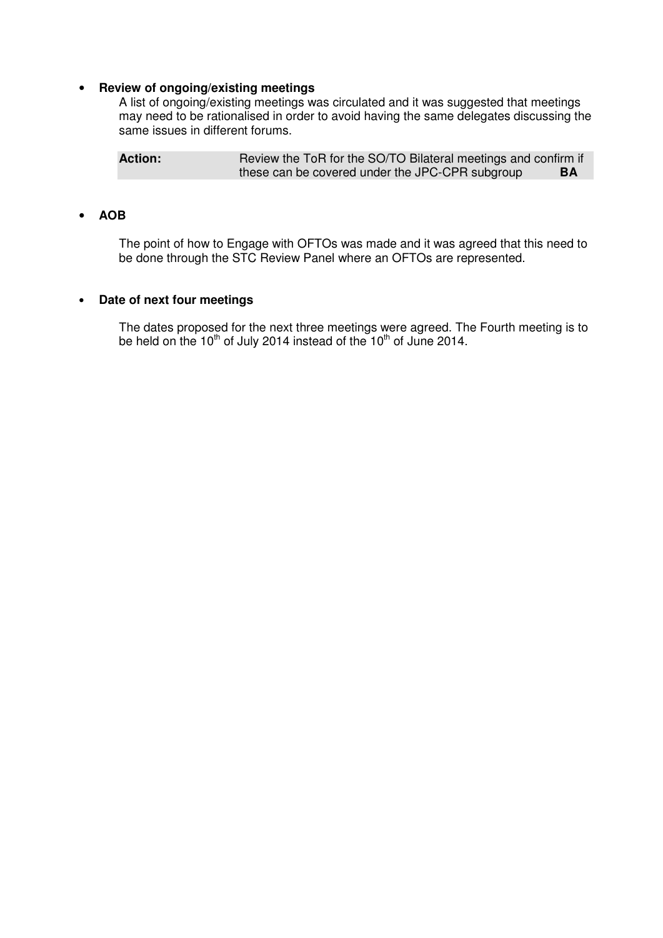# • **Review of ongoing/existing meetings**

A list of ongoing/existing meetings was circulated and it was suggested that meetings may need to be rationalised in order to avoid having the same delegates discussing the same issues in different forums.

Action: **Review the ToR for the SO/TO Bilateral meetings and confirm if** these can be covered under the JPC-CPR subgroup **BA** 

## • **AOB**

The point of how to Engage with OFTOs was made and it was agreed that this need to be done through the STC Review Panel where an OFTOs are represented.

# • **Date of next four meetings**

The dates proposed for the next three meetings were agreed. The Fourth meeting is to be held on the 10<sup>th</sup> of July 2014 instead of the 10<sup>th</sup> of June 2014.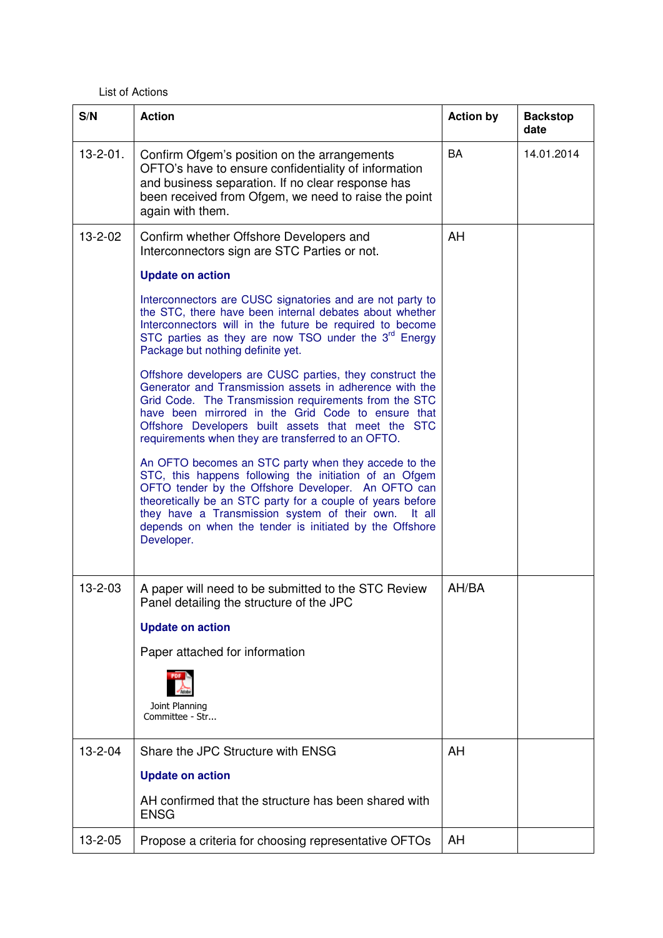## List of Actions

| S/N             | <b>Action</b>                                                                                                                                                                                                                                                                                                                                                          | <b>Action by</b> | <b>Backstop</b><br>date |
|-----------------|------------------------------------------------------------------------------------------------------------------------------------------------------------------------------------------------------------------------------------------------------------------------------------------------------------------------------------------------------------------------|------------------|-------------------------|
| $13 - 2 - 01$ . | Confirm Ofgem's position on the arrangements<br>OFTO's have to ensure confidentiality of information<br>and business separation. If no clear response has<br>been received from Ofgem, we need to raise the point<br>again with them.                                                                                                                                  | <b>BA</b>        | 14.01.2014              |
| 13-2-02         | Confirm whether Offshore Developers and<br>Interconnectors sign are STC Parties or not.                                                                                                                                                                                                                                                                                | AH               |                         |
|                 | <b>Update on action</b>                                                                                                                                                                                                                                                                                                                                                |                  |                         |
|                 | Interconnectors are CUSC signatories and are not party to<br>the STC, there have been internal debates about whether<br>Interconnectors will in the future be required to become<br>STC parties as they are now TSO under the 3 <sup>rd</sup> Energy<br>Package but nothing definite yet.                                                                              |                  |                         |
|                 | Offshore developers are CUSC parties, they construct the<br>Generator and Transmission assets in adherence with the<br>Grid Code. The Transmission requirements from the STC<br>have been mirrored in the Grid Code to ensure that<br>Offshore Developers built assets that meet the STC<br>requirements when they are transferred to an OFTO.                         |                  |                         |
|                 | An OFTO becomes an STC party when they accede to the<br>STC, this happens following the initiation of an Ofgem<br>OFTO tender by the Offshore Developer. An OFTO can<br>theoretically be an STC party for a couple of years before<br>they have a Transmission system of their own.<br>It all<br>depends on when the tender is initiated by the Offshore<br>Developer. |                  |                         |
| $13 - 2 - 03$   | A paper will need to be submitted to the STC Review<br>Panel detailing the structure of the JPC                                                                                                                                                                                                                                                                        | AH/BA            |                         |
|                 | <b>Update on action</b>                                                                                                                                                                                                                                                                                                                                                |                  |                         |
|                 | Paper attached for information                                                                                                                                                                                                                                                                                                                                         |                  |                         |
|                 | Joint Planning<br>Committee - Str                                                                                                                                                                                                                                                                                                                                      |                  |                         |
| $13 - 2 - 04$   | Share the JPC Structure with ENSG                                                                                                                                                                                                                                                                                                                                      | AH               |                         |
|                 | <b>Update on action</b>                                                                                                                                                                                                                                                                                                                                                |                  |                         |
|                 | AH confirmed that the structure has been shared with<br><b>ENSG</b>                                                                                                                                                                                                                                                                                                    |                  |                         |
| 13-2-05         | Propose a criteria for choosing representative OFTOs                                                                                                                                                                                                                                                                                                                   | AH               |                         |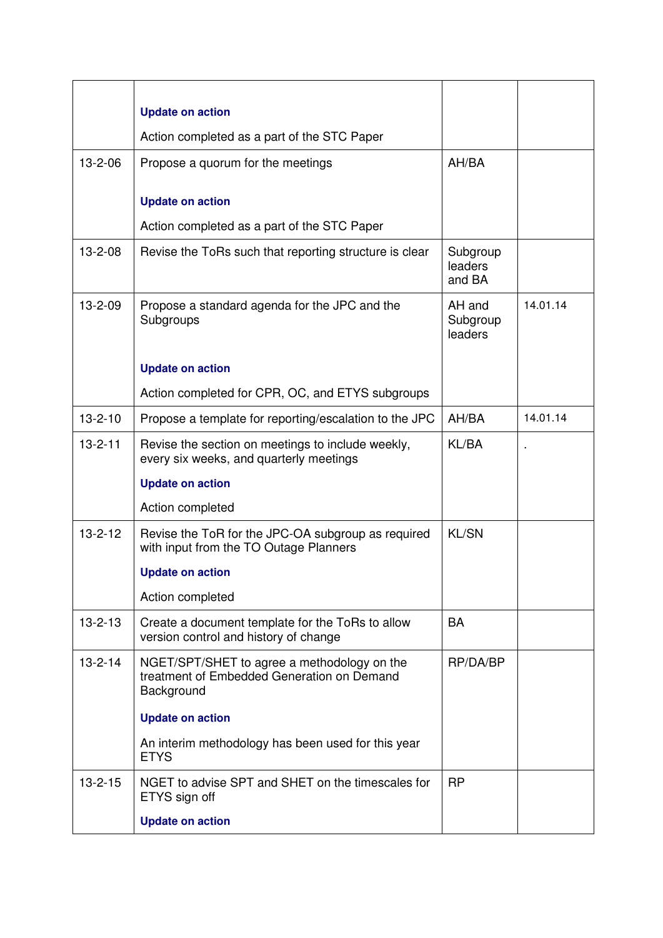|               | <b>Update on action</b>                                                                                 |                               |          |
|---------------|---------------------------------------------------------------------------------------------------------|-------------------------------|----------|
|               | Action completed as a part of the STC Paper                                                             |                               |          |
| $13 - 2 - 06$ | Propose a quorum for the meetings                                                                       | AH/BA                         |          |
|               | <b>Update on action</b>                                                                                 |                               |          |
|               | Action completed as a part of the STC Paper                                                             |                               |          |
| $13 - 2 - 08$ | Revise the ToRs such that reporting structure is clear                                                  | Subgroup<br>leaders<br>and BA |          |
| $13 - 2 - 09$ | Propose a standard agenda for the JPC and the<br>Subgroups                                              | AH and<br>Subgroup<br>leaders | 14.01.14 |
|               | <b>Update on action</b>                                                                                 |                               |          |
|               | Action completed for CPR, OC, and ETYS subgroups                                                        |                               |          |
| $13 - 2 - 10$ | Propose a template for reporting/escalation to the JPC                                                  | AH/BA                         | 14.01.14 |
| $13 - 2 - 11$ | Revise the section on meetings to include weekly,<br>every six weeks, and quarterly meetings            | KL/BA                         |          |
|               | <b>Update on action</b>                                                                                 |                               |          |
|               | Action completed                                                                                        |                               |          |
| $13 - 2 - 12$ | Revise the ToR for the JPC-OA subgroup as required<br>with input from the TO Outage Planners            | <b>KL/SN</b>                  |          |
|               | <b>Update on action</b>                                                                                 |                               |          |
|               | Action completed                                                                                        |                               |          |
| $13 - 2 - 13$ | Create a document template for the ToRs to allow<br>version control and history of change               | <b>BA</b>                     |          |
| $13 - 2 - 14$ | NGET/SPT/SHET to agree a methodology on the<br>treatment of Embedded Generation on Demand<br>Background | RP/DA/BP                      |          |
|               | <b>Update on action</b>                                                                                 |                               |          |
|               | An interim methodology has been used for this year<br><b>ETYS</b>                                       |                               |          |
| $13 - 2 - 15$ | NGET to advise SPT and SHET on the timescales for<br>ETYS sign off                                      | <b>RP</b>                     |          |
|               | <b>Update on action</b>                                                                                 |                               |          |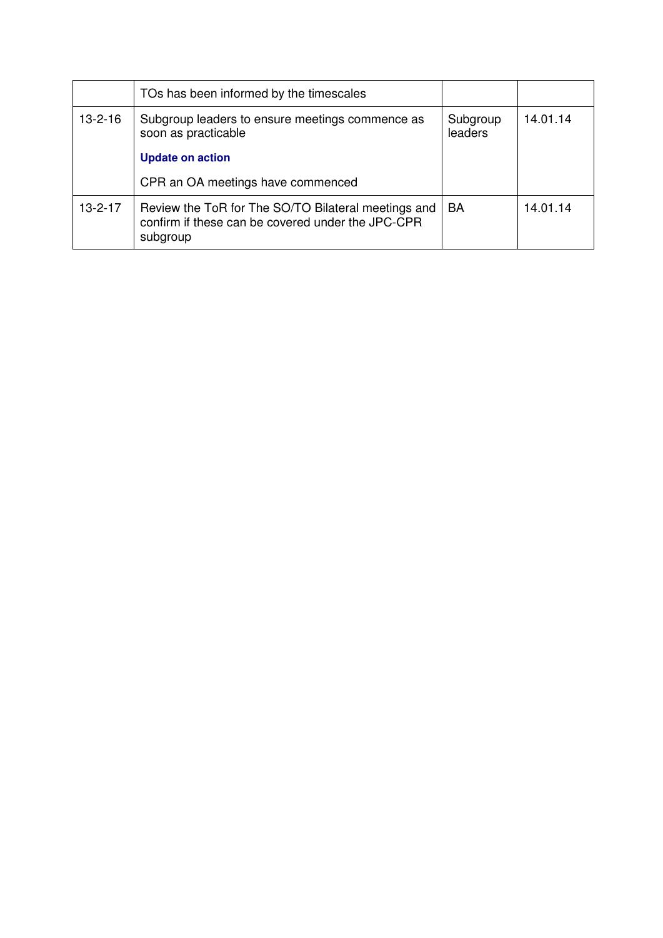|               | TOs has been informed by the timescales                                                                              |                     |          |
|---------------|----------------------------------------------------------------------------------------------------------------------|---------------------|----------|
| $13 - 2 - 16$ | Subgroup leaders to ensure meetings commence as<br>soon as practicable                                               | Subgroup<br>leaders | 14.01.14 |
|               | <b>Update on action</b>                                                                                              |                     |          |
|               | CPR an OA meetings have commenced                                                                                    |                     |          |
| $13 - 2 - 17$ | Review the ToR for The SO/TO Bilateral meetings and<br>confirm if these can be covered under the JPC-CPR<br>subgroup | BA                  | 14.01.14 |